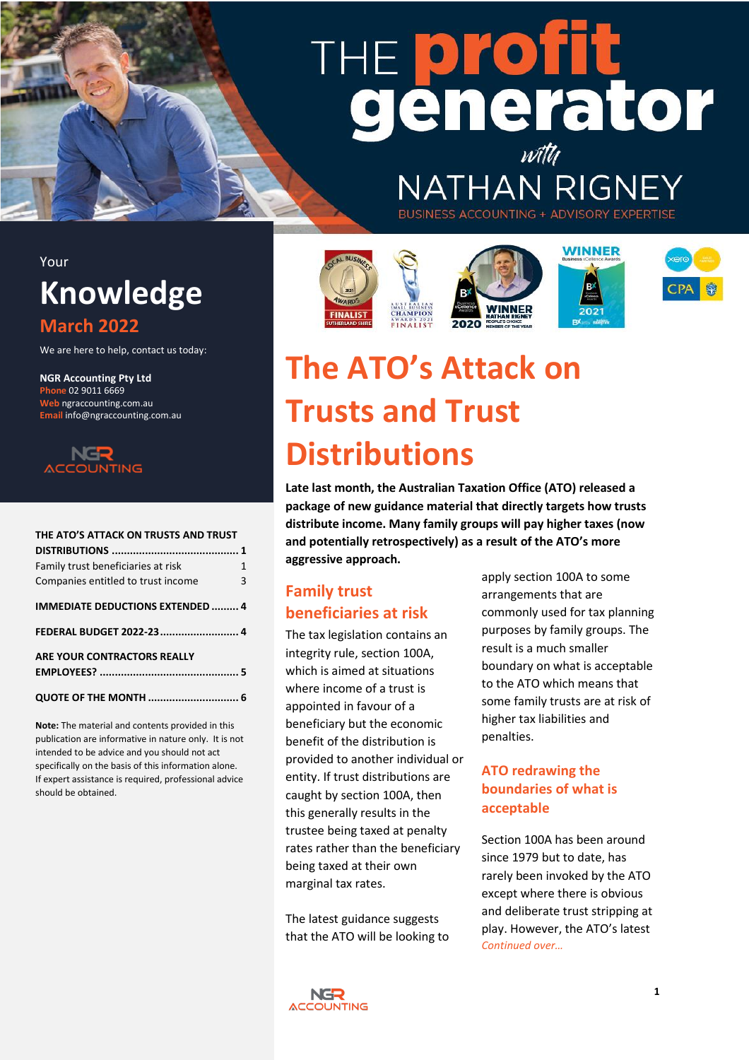# THE **profi** generator

**NATHAN RIGNE** 

## Your **Knowledge**

### **March 2022**

We are here to help, contact us today:

**NGR Accounting Pty Ltd Phone** 02 9011 6669 **Web** ngraccounting.com.au **Email** info@ngraccounting.com.au



#### **[THE ATO'S ATTACK ON TRUSTS AND TRUST](#page-0-0)**

| Family trust beneficiaries at risk      | 1 |
|-----------------------------------------|---|
| Companies entitled to trust income      | 3 |
| <b>IMMEDIATE DEDUCTIONS EXTENDED  4</b> |   |
| FEDERAL BUDGET 2022-23 4                |   |
| ARE YOUR CONTRACTORS REALLY             |   |
|                                         |   |
| QUOTE OF THE MONTH  6                   |   |

**Note:** The material and contents provided in this publication are informative in nature only. It is not intended to be advice and you should not act specifically on the basis of this information alone. If expert assistance is required, professional advice should be obtained.







**BUSINESS ACCOUNTING + ADVISORY E** 





# <span id="page-0-0"></span>**The ATO's Attack on Trusts and Trust Distributions**

**Late last month, the Australian Taxation Office (ATO) released a package of new guidance material that directly targets how trusts distribute income. Many family groups will pay higher taxes (now and potentially retrospectively) as a result of the ATO's more aggressive approach.**

### <span id="page-0-1"></span>**Family trust beneficiaries at risk**

The tax legislation contains an integrity rule, section 100A, which is aimed at situations where income of a trust is appointed in favour of a beneficiary but the economic benefit of the distribution is provided to another individual or entity. If trust distributions are caught by section 100A, then this generally results in the trustee being taxed at penalty rates rather than the beneficiary being taxed at their own marginal tax rates.

The latest guidance suggests that the ATO will be looking to apply section 100A to some arrangements that are commonly used for tax planning purposes by family groups. The result is a much smaller boundary on what is acceptable to the ATO which means that some family trusts are at risk of higher tax liabilities and penalties.

### **ATO redrawing the boundaries of what is acceptable**

Section 100A has been around since 1979 but to date, has rarely been invoked by the ATO except where there is obvious and deliberate trust stripping at play. However, the ATO's latest *Continued over…*

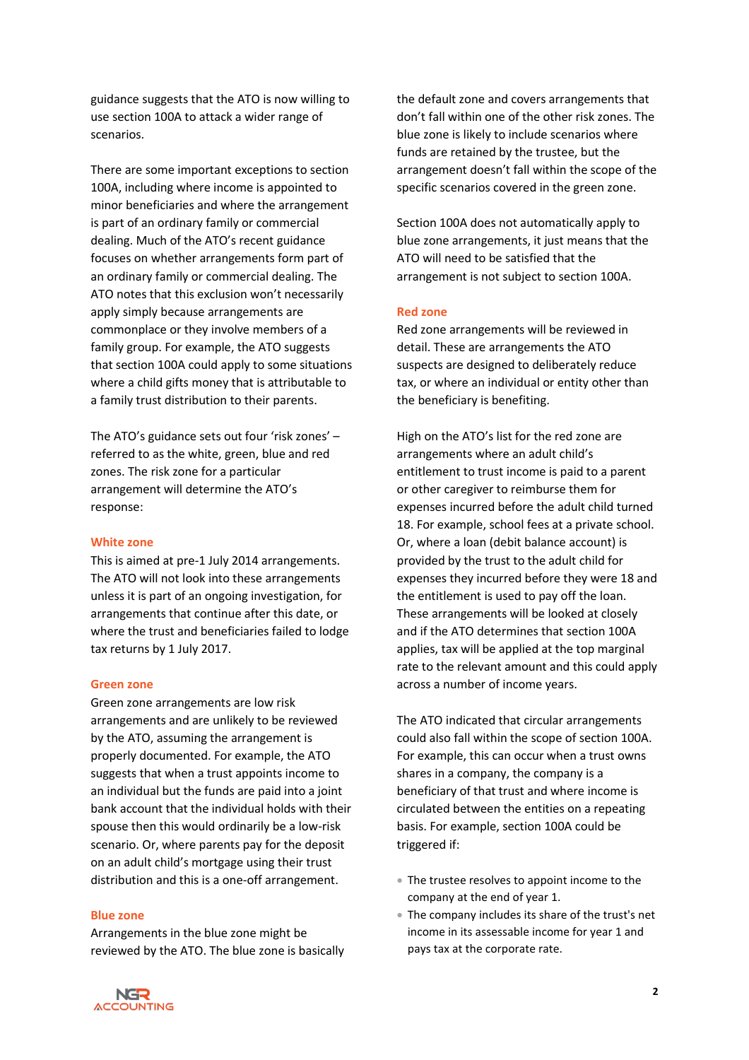guidance suggests that the ATO is now willing to use section 100A to attack a wider range of scenarios.

There are some important exceptions to section 100A, including where income is appointed to minor beneficiaries and where the arrangement is part of an ordinary family or commercial dealing. Much of the ATO's recent guidance focuses on whether arrangements form part of an ordinary family or commercial dealing. The ATO notes that this exclusion won't necessarily apply simply because arrangements are commonplace or they involve members of a family group. For example, the ATO suggests that section 100A could apply to some situations where a child gifts money that is attributable to a family trust distribution to their parents.

The ATO's guidance sets out four 'risk zones' – referred to as the white, green, blue and red zones. The risk zone for a particular arrangement will determine the ATO's response:

#### **White zone**

This is aimed at pre-1 July 2014 arrangements. The ATO will not look into these arrangements unless it is part of an ongoing investigation, for arrangements that continue after this date, or where the trust and beneficiaries failed to lodge tax returns by 1 July 2017.

#### **Green zone**

Green zone arrangements are low risk arrangements and are unlikely to be reviewed by the ATO, assuming the arrangement is properly documented. For example, the ATO suggests that when a trust appoints income to an individual but the funds are paid into a joint bank account that the individual holds with their spouse then this would ordinarily be a low-risk scenario. Or, where parents pay for the deposit on an adult child's mortgage using their trust distribution and this is a one-off arrangement.

#### **Blue zone**

Arrangements in the blue zone might be reviewed by the ATO. The blue zone is basically the default zone and covers arrangements that don't fall within one of the other risk zones. The blue zone is likely to include scenarios where funds are retained by the trustee, but the arrangement doesn't fall within the scope of the specific scenarios covered in the green zone.

Section 100A does not automatically apply to blue zone arrangements, it just means that the ATO will need to be satisfied that the arrangement is not subject to section 100A.

#### **Red zone**

Red zone arrangements will be reviewed in detail. These are arrangements the ATO suspects are designed to deliberately reduce tax, or where an individual or entity other than the beneficiary is benefiting.

High on the ATO's list for the red zone are arrangements where an adult child's entitlement to trust income is paid to a parent or other caregiver to reimburse them for expenses incurred before the adult child turned 18. For example, school fees at a private school. Or, where a loan (debit balance account) is provided by the trust to the adult child for expenses they incurred before they were 18 and the entitlement is used to pay off the loan. These arrangements will be looked at closely and if the ATO determines that section 100A applies, tax will be applied at the top marginal rate to the relevant amount and this could apply across a number of income years.

The ATO indicated that circular arrangements could also fall within the scope of section 100A. For example, this can occur when a trust owns shares in a company, the company is a beneficiary of that trust and where income is circulated between the entities on a repeating basis. For example, section 100A could be triggered if:

- The trustee resolves to appoint income to the company at the end of year 1.
- The company includes its share of the trust's net income in its assessable income for year 1 and pays tax at the corporate rate.

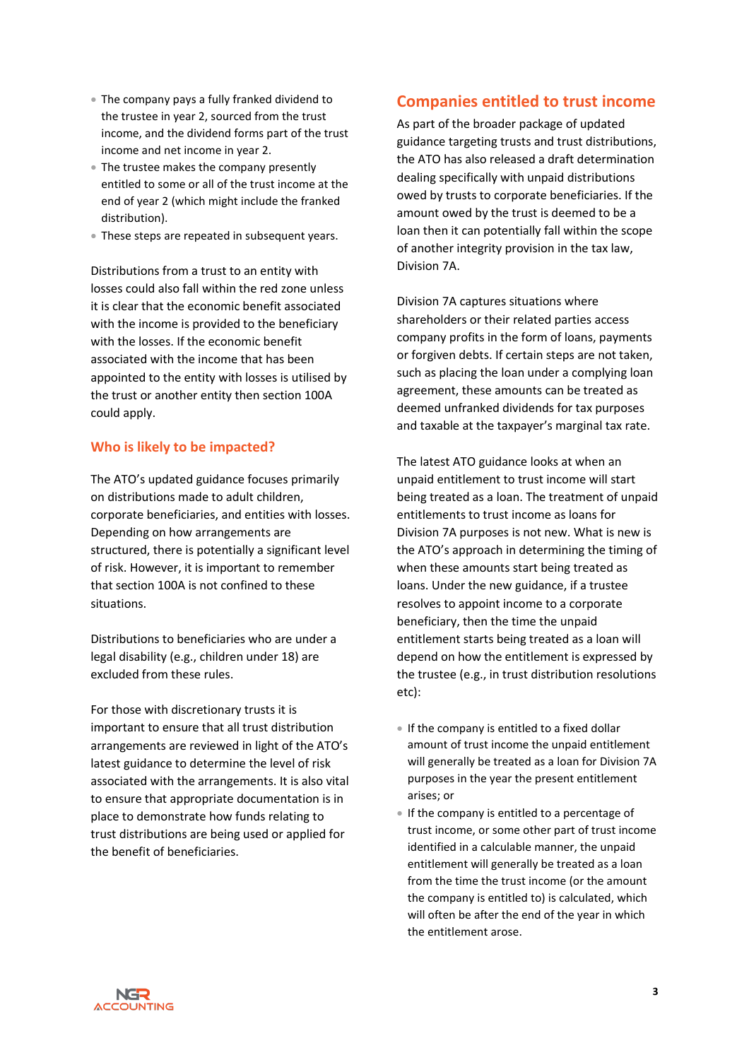- The company pays a fully franked dividend to the trustee in year 2, sourced from the trust income, and the dividend forms part of the trust income and net income in year 2.
- The trustee makes the company presently entitled to some or all of the trust income at the end of year 2 (which might include the franked distribution).
- These steps are repeated in subsequent years.

Distributions from a trust to an entity with losses could also fall within the red zone unless it is clear that the economic benefit associated with the income is provided to the beneficiary with the losses. If the economic benefit associated with the income that has been appointed to the entity with losses is utilised by the trust or another entity then section 100A could apply.

#### **Who is likely to be impacted?**

The ATO's updated guidance focuses primarily on distributions made to adult children, corporate beneficiaries, and entities with losses. Depending on how arrangements are structured, there is potentially a significant level of risk. However, it is important to remember that section 100A is not confined to these situations.

Distributions to beneficiaries who are under a legal disability (e.g., children under 18) are excluded from these rules.

For those with discretionary trusts it is important to ensure that all trust distribution arrangements are reviewed in light of the ATO's latest guidance to determine the level of risk associated with the arrangements. It is also vital to ensure that appropriate documentation is in place to demonstrate how funds relating to trust distributions are being used or applied for the benefit of beneficiaries.

### <span id="page-2-0"></span>**Companies entitled to trust income**

As part of the broader package of updated guidance targeting trusts and trust distributions, the ATO has also released a draft determination dealing specifically with unpaid distributions owed by trusts to corporate beneficiaries. If the amount owed by the trust is deemed to be a loan then it can potentially fall within the scope of another integrity provision in the tax law, Division 7A.

Division 7A captures situations where shareholders or their related parties access company profits in the form of loans, payments or forgiven debts. If certain steps are not taken, such as placing the loan under a complying loan agreement, these amounts can be treated as deemed unfranked dividends for tax purposes and taxable at the taxpayer's marginal tax rate.

The latest ATO guidance looks at when an unpaid entitlement to trust income will start being treated as a loan. The treatment of unpaid entitlements to trust income as loans for Division 7A purposes is not new. What is new is the ATO's approach in determining the timing of when these amounts start being treated as loans. Under the new guidance, if a trustee resolves to appoint income to a corporate beneficiary, then the time the unpaid entitlement starts being treated as a loan will depend on how the entitlement is expressed by the trustee (e.g., in trust distribution resolutions etc):

- If the company is entitled to a fixed dollar amount of trust income the unpaid entitlement will generally be treated as a loan for Division 7A purposes in the year the present entitlement arises; or
- If the company is entitled to a percentage of trust income, or some other part of trust income identified in a calculable manner, the unpaid entitlement will generally be treated as a loan from the time the trust income (or the amount the company is entitled to) is calculated, which will often be after the end of the year in which the entitlement arose.

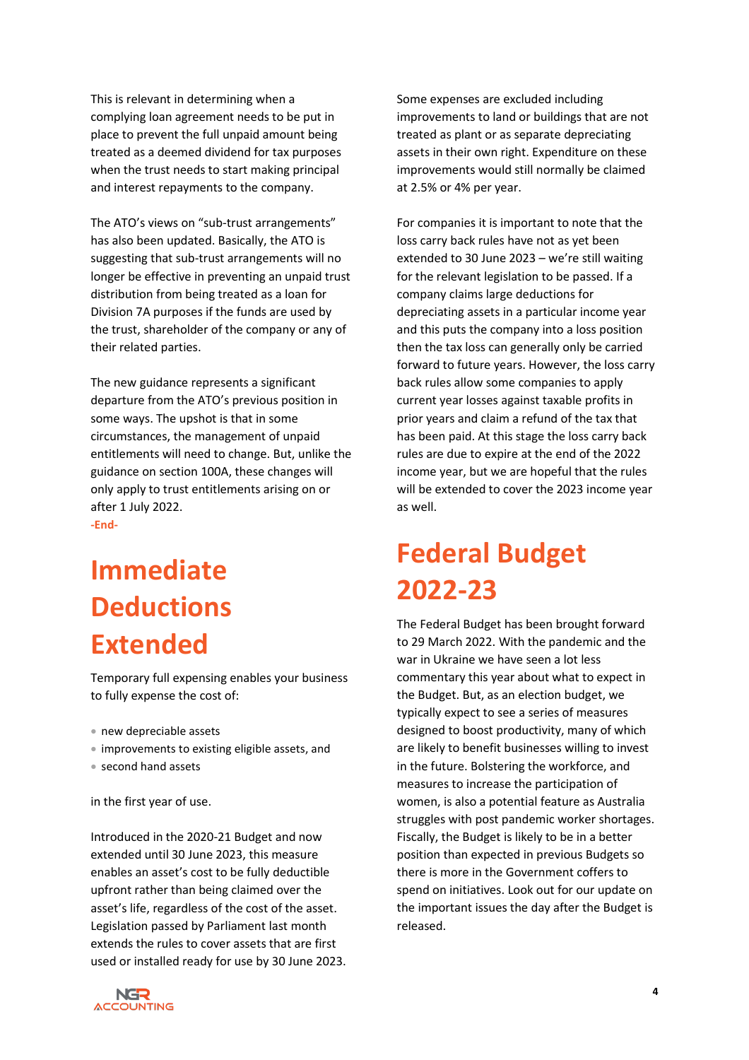This is relevant in determining when a complying loan agreement needs to be put in place to prevent the full unpaid amount being treated as a deemed dividend for tax purposes when the trust needs to start making principal and interest repayments to the company.

The ATO's views on "sub-trust arrangements" has also been updated. Basically, the ATO is suggesting that sub-trust arrangements will no longer be effective in preventing an unpaid trust distribution from being treated as a loan for Division 7A purposes if the funds are used by the trust, shareholder of the company or any of their related parties.

The new guidance represents a significant departure from the ATO's previous position in some ways. The upshot is that in some circumstances, the management of unpaid entitlements will need to change. But, unlike the guidance on section 100A, these changes will only apply to trust entitlements arising on or after 1 July 2022. **-End-**

# <span id="page-3-0"></span>**Immediate Deductions Extended**

Temporary full expensing enables your business to fully expense the cost of:

- new depreciable assets
- improvements to existing eligible assets, and
- second hand assets

in the first year of use.

Introduced in the 2020-21 Budget and now extended until 30 June 2023, this measure enables an asset's cost to be fully deductible upfront rather than being claimed over the asset's life, regardless of the cost of the asset. Legislation passed by Parliament last month extends the rules to cover assets that are first used or installed ready for use by 30 June 2023. Some expenses are excluded including improvements to land or buildings that are not treated as plant or as separate depreciating assets in their own right. Expenditure on these improvements would still normally be claimed at 2.5% or 4% per year.

For companies it is important to note that the loss carry back rules have not as yet been extended to 30 June 2023 – we're still waiting for the relevant legislation to be passed. If a company claims large deductions for depreciating assets in a particular income year and this puts the company into a loss position then the tax loss can generally only be carried forward to future years. However, the loss carry back rules allow some companies to apply current year losses against taxable profits in prior years and claim a refund of the tax that has been paid. At this stage the loss carry back rules are due to expire at the end of the 2022 income year, but we are hopeful that the rules will be extended to cover the 2023 income year as well.

# <span id="page-3-1"></span>**Federal Budget 2022-23**

The Federal Budget has been brought forward to 29 March 2022. With the pandemic and the war in Ukraine we have seen a lot less commentary this year about what to expect in the Budget. But, as an election budget, we typically expect to see a series of measures designed to boost productivity, many of which are likely to benefit businesses willing to invest in the future. Bolstering the workforce, and measures to increase the participation of women, is also a potential feature as Australia struggles with post pandemic worker shortages. Fiscally, the Budget is likely to be in a better position than expected in previous Budgets so there is more in the Government coffers to spend on initiatives. Look out for our update on the important issues the day after the Budget is released.

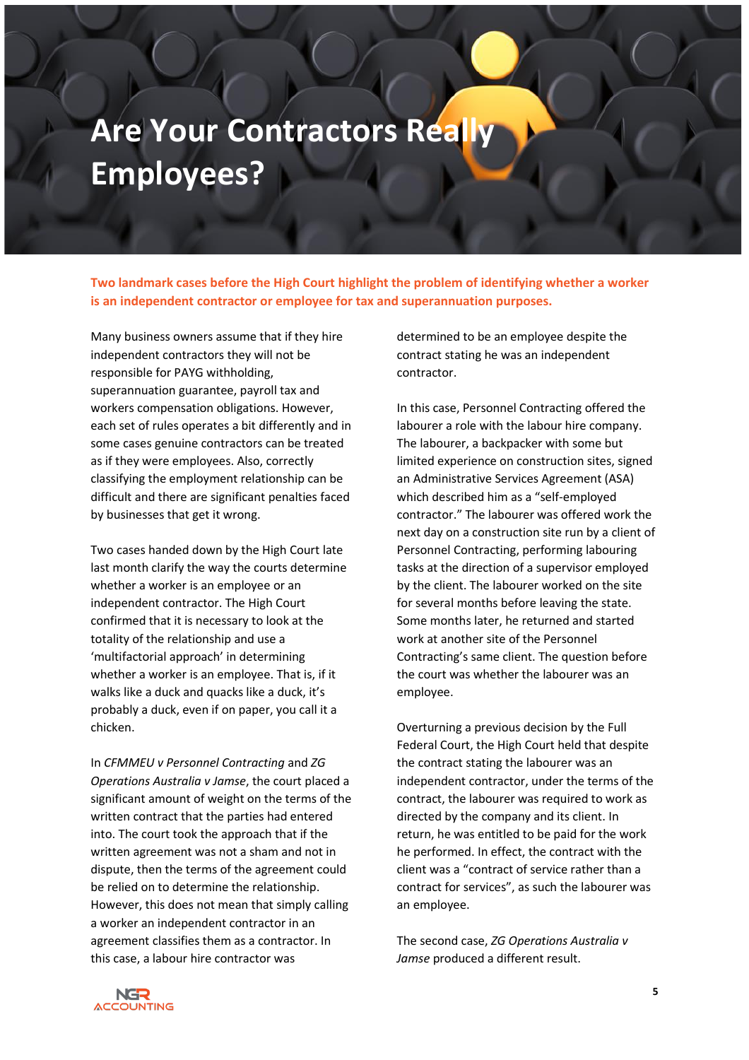# <span id="page-4-0"></span>**Are Your Contractors Really Employees?**

**Two landmark cases before the High Court highlight the problem of identifying whether a worker is an independent contractor or employee for tax and superannuation purposes.**

Many business owners assume that if they hire independent contractors they will not be responsible for PAYG withholding, superannuation guarantee, payroll tax and workers compensation obligations. However, each set of rules operates a bit differently and in some cases genuine contractors can be treated as if they were employees. Also, correctly classifying the employment relationship can be difficult and there are significant penalties faced by businesses that get it wrong.

Two cases handed down by the High Court late last month clarify the way the courts determine whether a worker is an employee or an independent contractor. The High Court confirmed that it is necessary to look at the totality of the relationship and use a 'multifactorial approach' in determining whether a worker is an employee. That is, if it walks like a duck and quacks like a duck, it's probably a duck, even if on paper, you call it a chicken.

In *CFMMEU v Personnel Contracting* and *ZG Operations Australia v Jamse*, the court placed a significant amount of weight on the terms of the written contract that the parties had entered into. The court took the approach that if the written agreement was not a sham and not in dispute, then the terms of the agreement could be relied on to determine the relationship. However, this does not mean that simply calling a worker an independent contractor in an agreement classifies them as a contractor. In this case, a labour hire contractor was

determined to be an employee despite the contract stating he was an independent contractor.

In this case, Personnel Contracting offered the labourer a role with the labour hire company. The labourer, a backpacker with some but limited experience on construction sites, signed an Administrative Services Agreement (ASA) which described him as a "self-employed contractor." The labourer was offered work the next day on a construction site run by a client of Personnel Contracting, performing labouring tasks at the direction of a supervisor employed by the client. The labourer worked on the site for several months before leaving the state. Some months later, he returned and started work at another site of the Personnel Contracting's same client. The question before the court was whether the labourer was an employee.

Overturning a previous decision by the Full Federal Court, the High Court held that despite the contract stating the labourer was an independent contractor, under the terms of the contract, the labourer was required to work as directed by the company and its client. In return, he was entitled to be paid for the work he performed. In effect, the contract with the client was a "contract of service rather than a contract for services", as such the labourer was an employee.

The second case, *ZG Operations Australia v Jamse* produced a different result.